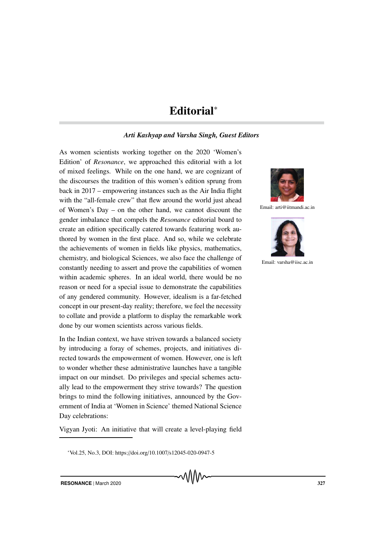## Editorial<sup>∗</sup>

## *Arti Kashyap and Varsha Singh, Guest Editors*

As women scientists working together on the 2020 'Women's Edition' of *Resonance*, we approached this editorial with a lot of mixed feelings. While on the one hand, we are cognizant of the discourses the tradition of this women's edition sprung from back in 2017 – empowering instances such as the Air India flight with the "all-female crew" that flew around the world just ahead of Women's Day – on the other hand, we cannot discount the gender imbalance that compels the *Resonance* editorial board to create an edition specifically catered towards featuring work authored by women in the first place. And so, while we celebrate the achievements of women in fields like physics, mathematics, chemistry, and biological Sciences, we also face the challenge of constantly needing to assert and prove the capabilities of women within academic spheres. In an ideal world, there would be no reason or need for a special issue to demonstrate the capabilities of any gendered community. However, idealism is a far-fetched concept in our present-day reality; therefore, we feel the necessity to collate and provide a platform to display the remarkable work done by our women scientists across various fields.

In the Indian context, we have striven towards a balanced society by introducing a foray of schemes, projects, and initiatives directed towards the empowerment of women. However, one is left to wonder whether these administrative launches have a tangible impact on our mindset. Do privileges and special schemes actually lead to the empowerment they strive towards? The question brings to mind the following initiatives, announced by the Government of India at 'Women in Science' themed National Science Day celebrations:

Vigyan Jyoti: An initiative that will create a level-playing field



Email: arti@iitmandi.ac.in



Email: varsha@iisc.ac.in

<sup>∗</sup>Vol.25, No.3, DOI: https://doi.org/10.1007/s12045-020-0947-5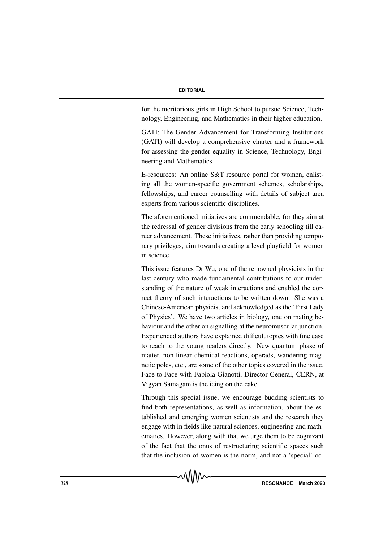for the meritorious girls in High School to pursue Science, Technology, Engineering, and Mathematics in their higher education.

GATI: The Gender Advancement for Transforming Institutions (GATI) will develop a comprehensive charter and a framework for assessing the gender equality in Science, Technology, Engineering and Mathematics.

E-resources: An online S&T resource portal for women, enlisting all the women-specific government schemes, scholarships, fellowships, and career counselling with details of subject area experts from various scientific disciplines.

The aforementioned initiatives are commendable, for they aim at the redressal of gender divisions from the early schooling till career advancement. These initiatives, rather than providing temporary privileges, aim towards creating a level playfield for women in science.

This issue features Dr Wu, one of the renowned physicists in the last century who made fundamental contributions to our understanding of the nature of weak interactions and enabled the correct theory of such interactions to be written down. She was a Chinese-American physicist and acknowledged as the 'First Lady of Physics'. We have two articles in biology, one on mating behaviour and the other on signalling at the neuromuscular junction. Experienced authors have explained difficult topics with fine ease to reach to the young readers directly. New quantum phase of matter, non-linear chemical reactions, operads, wandering magnetic poles, etc., are some of the other topics covered in the issue. Face to Face with Fabiola Gianotti, Director-General, CERN, at Vigyan Samagam is the icing on the cake.

Through this special issue, we encourage budding scientists to find both representations, as well as information, about the established and emerging women scientists and the research they engage with in fields like natural sciences, engineering and mathematics. However, along with that we urge them to be cognizant of the fact that the onus of restructuring scientific spaces such that the inclusion of women is the norm, and not a 'special' oc